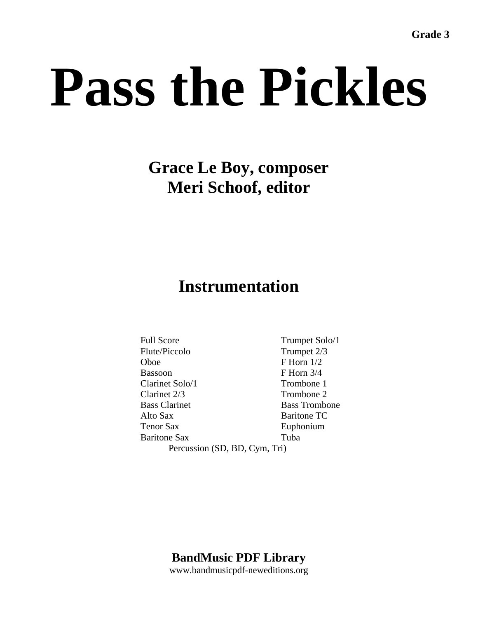# **Grace Le Boy, composer Meri Schoof, editor**

# **Instrumentation**

Full Score Trumpet Solo/1 Flute/Piccolo Trumpet 2/3 Oboe F Horn 1/2 Bassoon F Horn 3/4 Clarinet Solo/1 Trombone 1 Clarinet 2/3 Trombone 2 Bass Clarinet Bass Trombone Alto Sax Baritone TC Tenor Sax Euphonium Baritone Sax Tuba Percussion (SD, BD, Cym, Tri)

**BandMusic PDF Library** 

www.bandmusicpdf-neweditions.org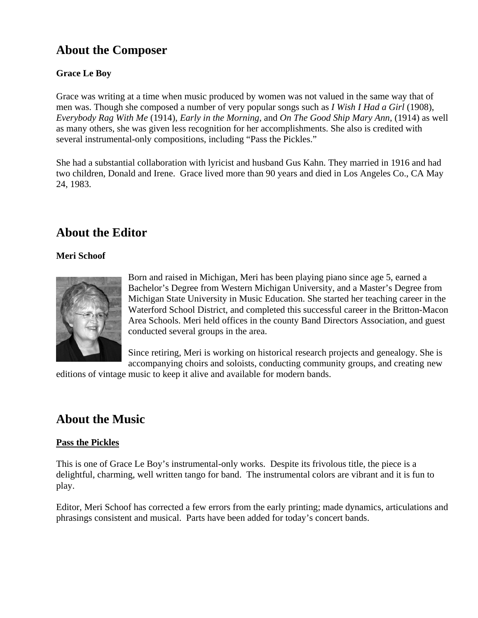# **About the Composer**

#### **Grace Le Boy**

Grace was writing at a time when music produced by women was not valued in the same way that of men was. Though she composed a number of very popular songs such as *I Wish I Had a Girl* (1908), *Everybody Rag With Me* (1914), *Early in the Morning*, and *On The Good Ship Mary Ann*, (1914) as well as many others, she was given less recognition for her accomplishments. She also is credited with several instrumental-only compositions, including "Pass the Pickles."

She had a substantial collaboration with lyricist and husband Gus Kahn. They married in 1916 and had two children, Donald and Irene. Grace lived more than 90 years and died in Los Angeles Co., CA May 24, 1983.

## **About the Editor**

#### **Meri Schoof**



Born and raised in Michigan, Meri has been playing piano since age 5, earned a Bachelor's Degree from Western Michigan University, and a Master's Degree from Michigan State University in Music Education. She started her teaching career in the Waterford School District, and completed this successful career in the Britton-Macon Area Schools. Meri held offices in the county Band Directors Association, and guest conducted several groups in the area.

Since retiring, Meri is working on historical research projects and genealogy. She is accompanying choirs and soloists, conducting community groups, and creating new

editions of vintage music to keep it alive and available for modern bands.

## **About the Music**

#### **Pass the Pickles**

This is one of Grace Le Boy's instrumental-only works. Despite its frivolous title, the piece is a delightful, charming, well written tango for band. The instrumental colors are vibrant and it is fun to play.

Editor, Meri Schoof has corrected a few errors from the early printing; made dynamics, articulations and phrasings consistent and musical. Parts have been added for today's concert bands.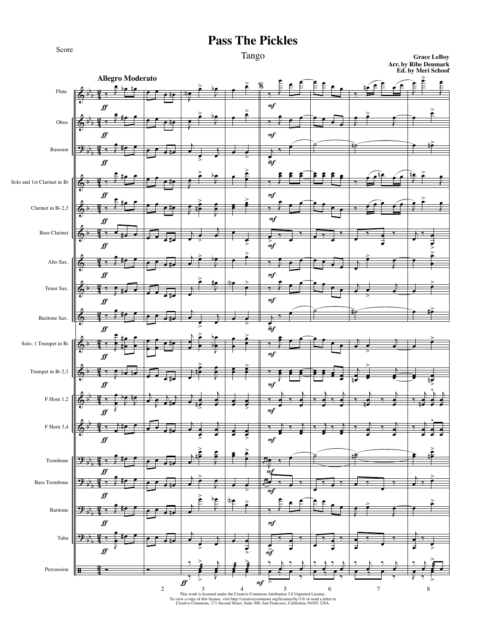

#### Tango

**Grace LeBoy Arr. by Ribe Denmark Ed. by Meri Schoof**

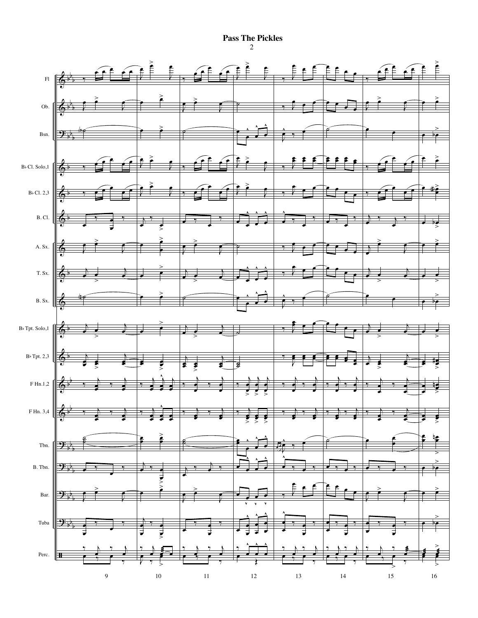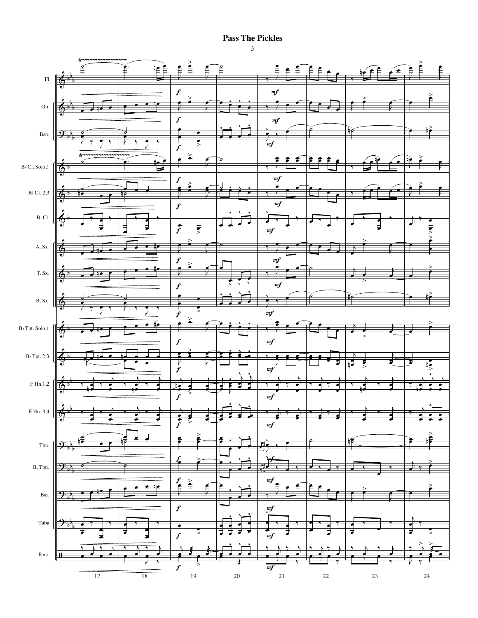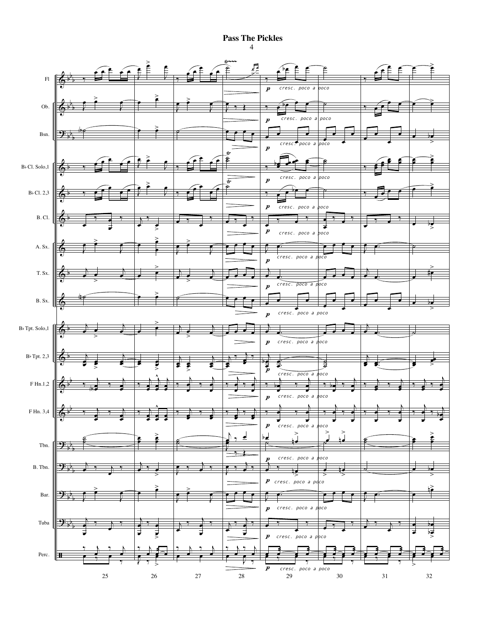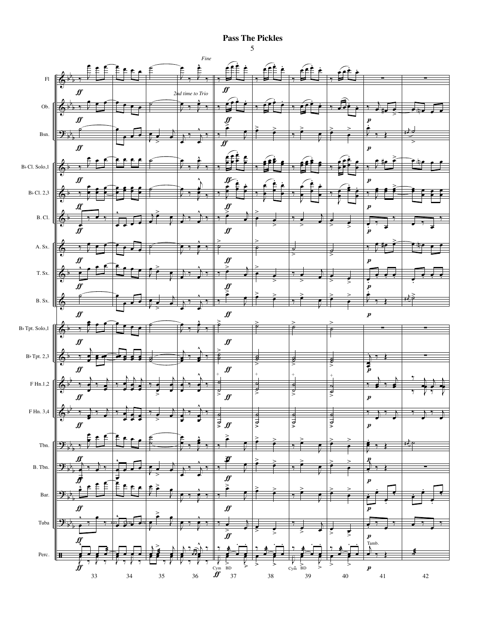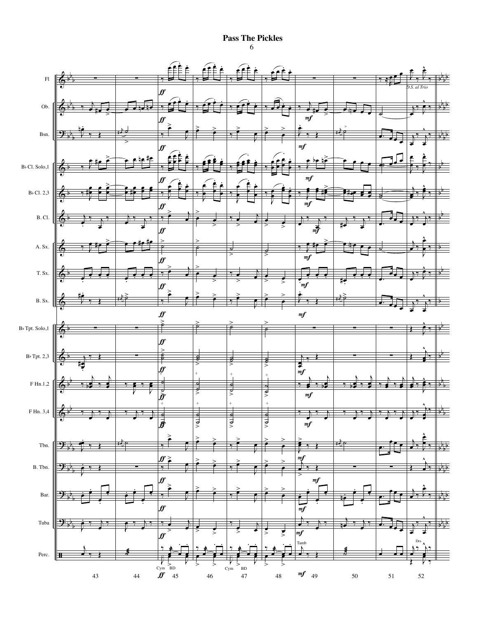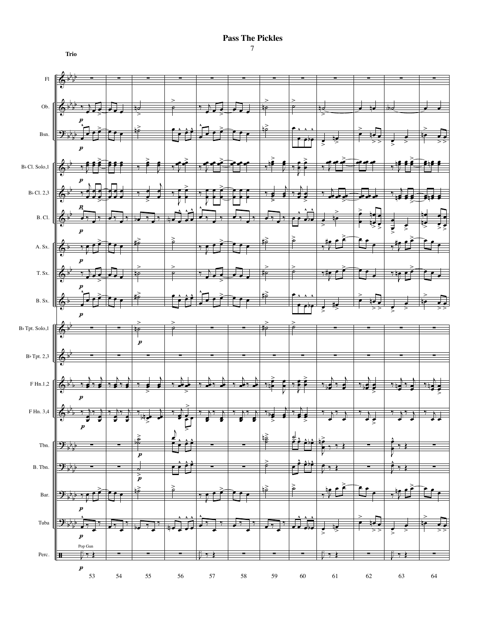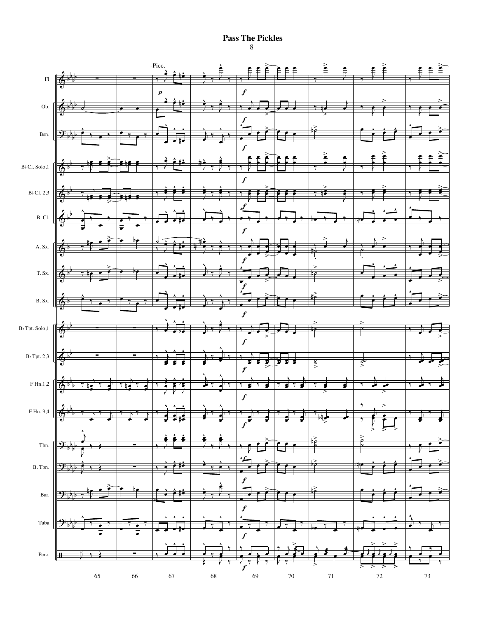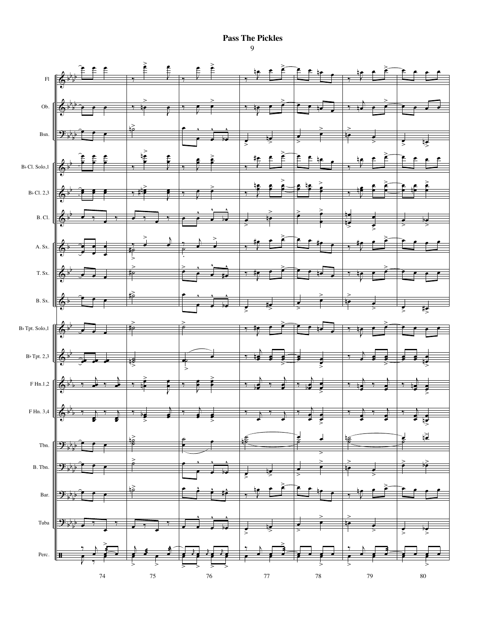